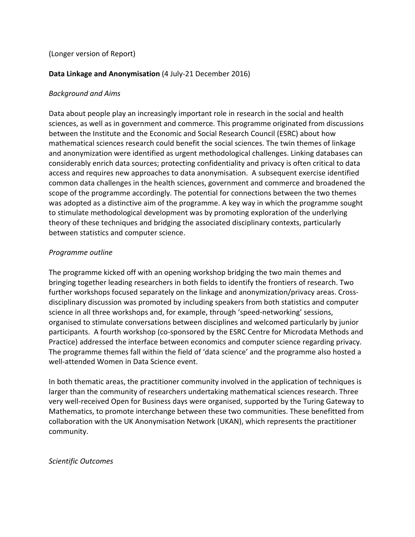# (Longer version of Report)

# **Data Linkage and Anonymisation** (4 July-21 December 2016)

# *Background and Aims*

Data about people play an increasingly important role in research in the social and health sciences, as well as in government and commerce. This programme originated from discussions between the Institute and the Economic and Social Research Council (ESRC) about how mathematical sciences research could benefit the social sciences. The twin themes of linkage and anonymization were identified as urgent methodological challenges. Linking databases can considerably enrich data sources; protecting confidentiality and privacy is often critical to data access and requires new approaches to data anonymisation. A subsequent exercise identified common data challenges in the health sciences, government and commerce and broadened the scope of the programme accordingly. The potential for connections between the two themes was adopted as a distinctive aim of the programme. A key way in which the programme sought to stimulate methodological development was by promoting exploration of the underlying theory of these techniques and bridging the associated disciplinary contexts, particularly between statistics and computer science.

#### *Programme outline*

The programme kicked off with an opening workshop bridging the two main themes and bringing together leading researchers in both fields to identify the frontiers of research. Two further workshops focused separately on the linkage and anonymization/privacy areas. Crossdisciplinary discussion was promoted by including speakers from both statistics and computer science in all three workshops and, for example, through 'speed-networking' sessions, organised to stimulate conversations between disciplines and welcomed particularly by junior participants. A fourth workshop (co-sponsored by the ESRC Centre for Microdata Methods and Practice) addressed the interface between economics and computer science regarding privacy. The programme themes fall within the field of 'data science' and the programme also hosted a well-attended Women in Data Science event.

In both thematic areas, the practitioner community involved in the application of techniques is larger than the community of researchers undertaking mathematical sciences research. Three very well-received Open for Business days were organised, supported by the Turing Gateway to Mathematics, to promote interchange between these two communities. These benefitted from collaboration with the UK Anonymisation Network (UKAN), which represents the practitioner community.

#### *Scientific Outcomes*